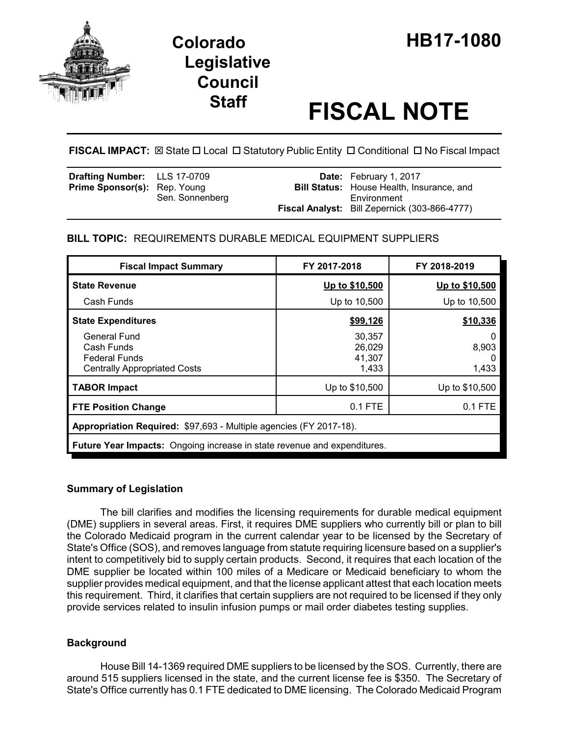



# **Staff FISCAL NOTE**

**FISCAL IMPACT:**  $\boxtimes$  **State □ Local □ Statutory Public Entity □ Conditional □ No Fiscal Impact** 

| <b>Drafting Number:</b> LLS 17-0709 |                 | <b>Date:</b> February 1, 2017                    |
|-------------------------------------|-----------------|--------------------------------------------------|
| <b>Prime Sponsor(s):</b> Rep. Young |                 | <b>Bill Status:</b> House Health, Insurance, and |
|                                     | Sen. Sonnenberg | Environment                                      |
|                                     |                 | Fiscal Analyst: Bill Zepernick (303-866-4777)    |

# **BILL TOPIC:** REQUIREMENTS DURABLE MEDICAL EQUIPMENT SUPPLIERS

| <b>Fiscal Impact Summary</b>                                                              | FY 2017-2018                        | FY 2018-2019             |  |  |
|-------------------------------------------------------------------------------------------|-------------------------------------|--------------------------|--|--|
| <b>State Revenue</b>                                                                      | Up to \$10,500                      | Up to \$10,500           |  |  |
| Cash Funds                                                                                | Up to 10,500                        | Up to 10,500             |  |  |
| <b>State Expenditures</b>                                                                 | \$99,126                            | \$10,336                 |  |  |
| General Fund<br>Cash Funds<br><b>Federal Funds</b><br><b>Centrally Appropriated Costs</b> | 30,357<br>26,029<br>41,307<br>1,433 | 0<br>8,903<br>0<br>1,433 |  |  |
| <b>TABOR Impact</b>                                                                       | Up to \$10,500                      | Up to \$10,500           |  |  |
| <b>FTE Position Change</b>                                                                | $0.1$ FTE                           | $0.1$ FTE                |  |  |
| Appropriation Required: \$97,693 - Multiple agencies (FY 2017-18).                        |                                     |                          |  |  |
| <b>Future Year Impacts:</b> Ongoing increase in state revenue and expenditures.           |                                     |                          |  |  |

## **Summary of Legislation**

The bill clarifies and modifies the licensing requirements for durable medical equipment (DME) suppliers in several areas. First, it requires DME suppliers who currently bill or plan to bill the Colorado Medicaid program in the current calendar year to be licensed by the Secretary of State's Office (SOS), and removes language from statute requiring licensure based on a supplier's intent to competitively bid to supply certain products. Second, it requires that each location of the DME supplier be located within 100 miles of a Medicare or Medicaid beneficiary to whom the supplier provides medical equipment, and that the license applicant attest that each location meets this requirement. Third, it clarifies that certain suppliers are not required to be licensed if they only provide services related to insulin infusion pumps or mail order diabetes testing supplies.

## **Background**

House Bill 14-1369 required DME suppliers to be licensed by the SOS. Currently, there are around 515 suppliers licensed in the state, and the current license fee is \$350. The Secretary of State's Office currently has 0.1 FTE dedicated to DME licensing. The Colorado Medicaid Program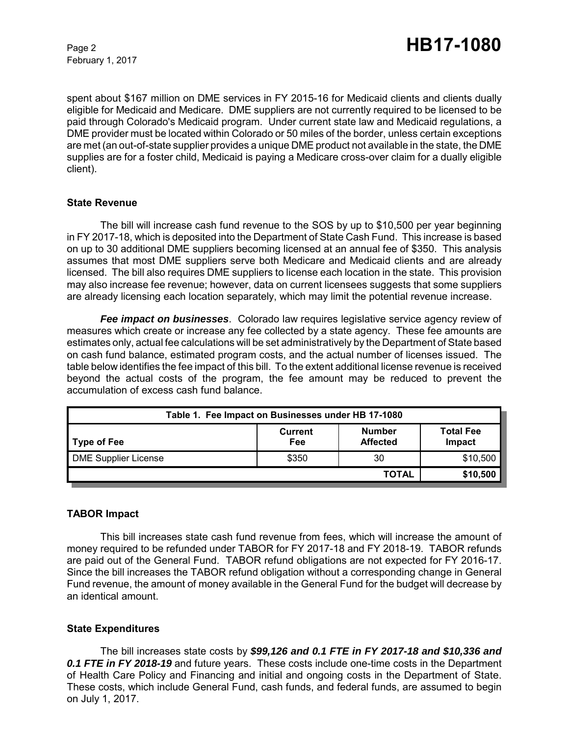February 1, 2017

spent about \$167 million on DME services in FY 2015-16 for Medicaid clients and clients dually eligible for Medicaid and Medicare. DME suppliers are not currently required to be licensed to be paid through Colorado's Medicaid program. Under current state law and Medicaid regulations, a DME provider must be located within Colorado or 50 miles of the border, unless certain exceptions are met (an out-of-state supplier provides a unique DME product not available in the state, the DME supplies are for a foster child, Medicaid is paying a Medicare cross-over claim for a dually eligible client).

#### **State Revenue**

The bill will increase cash fund revenue to the SOS by up to \$10,500 per year beginning in FY 2017-18, which is deposited into the Department of State Cash Fund. This increase is based on up to 30 additional DME suppliers becoming licensed at an annual fee of \$350. This analysis assumes that most DME suppliers serve both Medicare and Medicaid clients and are already licensed. The bill also requires DME suppliers to license each location in the state. This provision may also increase fee revenue; however, data on current licensees suggests that some suppliers are already licensing each location separately, which may limit the potential revenue increase.

*Fee impact on businesses*. Colorado law requires legislative service agency review of measures which create or increase any fee collected by a state agency. These fee amounts are estimates only, actual fee calculations will be set administratively by the Department of State based on cash fund balance, estimated program costs, and the actual number of licenses issued. The table below identifies the fee impact of this bill. To the extent additional license revenue is received beyond the actual costs of the program, the fee amount may be reduced to prevent the accumulation of excess cash fund balance.

| Table 1. Fee Impact on Businesses under HB 17-1080 |                       |                                  |                            |  |  |
|----------------------------------------------------|-----------------------|----------------------------------|----------------------------|--|--|
| <b>Type of Fee</b>                                 | <b>Current</b><br>Fee | <b>Number</b><br><b>Affected</b> | <b>Total Fee</b><br>Impact |  |  |
| <b>DME Supplier License</b>                        | \$350                 | 30                               | \$10,500                   |  |  |
|                                                    |                       | <b>TOTAL</b>                     | \$10,500                   |  |  |

## **TABOR Impact**

This bill increases state cash fund revenue from fees, which will increase the amount of money required to be refunded under TABOR for FY 2017-18 and FY 2018-19. TABOR refunds are paid out of the General Fund. TABOR refund obligations are not expected for FY 2016-17. Since the bill increases the TABOR refund obligation without a corresponding change in General Fund revenue, the amount of money available in the General Fund for the budget will decrease by an identical amount.

## **State Expenditures**

The bill increases state costs by *\$99,126 and 0.1 FTE in FY 2017-18 and \$10,336 and 0.1 FTE in FY 2018-19* and future years. These costs include one-time costs in the Department of Health Care Policy and Financing and initial and ongoing costs in the Department of State. These costs, which include General Fund, cash funds, and federal funds, are assumed to begin on July 1, 2017.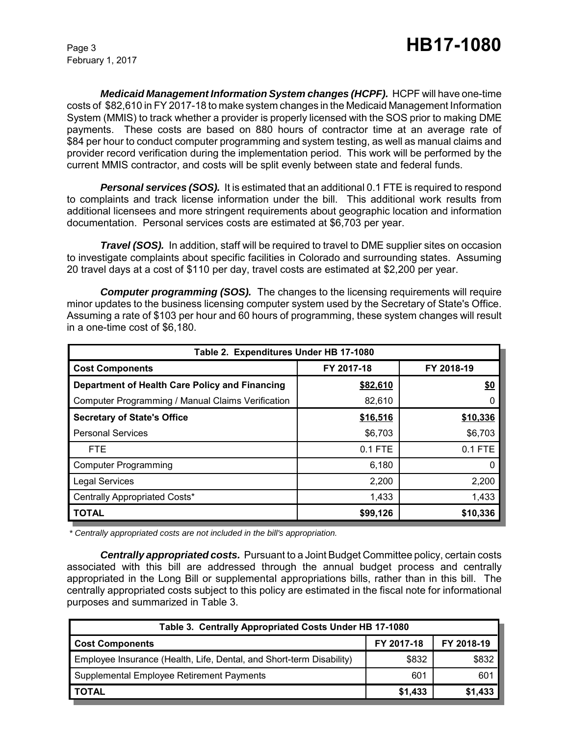February 1, 2017

*Medicaid Management Information System changes (HCPF).* HCPF will have one-time costs of \$82,610 in FY 2017-18 to make system changes in the Medicaid Management Information System (MMIS) to track whether a provider is properly licensed with the SOS prior to making DME payments. These costs are based on 880 hours of contractor time at an average rate of \$84 per hour to conduct computer programming and system testing, as well as manual claims and provider record verification during the implementation period. This work will be performed by the current MMIS contractor, and costs will be split evenly between state and federal funds.

**Personal services (SOS).** It is estimated that an additional 0.1 FTE is required to respond to complaints and track license information under the bill. This additional work results from additional licensees and more stringent requirements about geographic location and information documentation. Personal services costs are estimated at \$6,703 per year.

*Travel (SOS).* In addition, staff will be required to travel to DME supplier sites on occasion to investigate complaints about specific facilities in Colorado and surrounding states. Assuming 20 travel days at a cost of \$110 per day, travel costs are estimated at \$2,200 per year.

**Computer programming (SOS).** The changes to the licensing requirements will require minor updates to the business licensing computer system used by the Secretary of State's Office. Assuming a rate of \$103 per hour and 60 hours of programming, these system changes will result in a one-time cost of \$6,180.

| Table 2. Expenditures Under HB 17-1080            |            |            |  |  |  |  |
|---------------------------------------------------|------------|------------|--|--|--|--|
| <b>Cost Components</b>                            | FY 2017-18 | FY 2018-19 |  |  |  |  |
| Department of Health Care Policy and Financing    | \$82,610   | \$0        |  |  |  |  |
| Computer Programming / Manual Claims Verification | 82,610     |            |  |  |  |  |
| <b>Secretary of State's Office</b>                | \$16,516   | \$10,336   |  |  |  |  |
| <b>Personal Services</b>                          | \$6,703    | \$6,703    |  |  |  |  |
| <b>FTE</b>                                        | $0.1$ FTE  | 0.1 FTE    |  |  |  |  |
| <b>Computer Programming</b>                       | 6,180      |            |  |  |  |  |
| <b>Legal Services</b>                             | 2,200      | 2,200      |  |  |  |  |
| Centrally Appropriated Costs*                     | 1,433      | 1,433      |  |  |  |  |
| <b>TOTAL</b>                                      | \$99,126   | \$10,336   |  |  |  |  |

 *\* Centrally appropriated costs are not included in the bill's appropriation.*

*Centrally appropriated costs.* Pursuant to a Joint Budget Committee policy, certain costs associated with this bill are addressed through the annual budget process and centrally appropriated in the Long Bill or supplemental appropriations bills, rather than in this bill. The centrally appropriated costs subject to this policy are estimated in the fiscal note for informational purposes and summarized in Table 3.

| Table 3. Centrally Appropriated Costs Under HB 17-1080               |            |            |  |  |  |
|----------------------------------------------------------------------|------------|------------|--|--|--|
| <b>Cost Components</b>                                               | FY 2017-18 | FY 2018-19 |  |  |  |
| Employee Insurance (Health, Life, Dental, and Short-term Disability) | \$832      | \$832      |  |  |  |
| Supplemental Employee Retirement Payments                            | 601        | 601        |  |  |  |
| <b>TOTAL</b>                                                         | \$1,433    | \$1,433    |  |  |  |